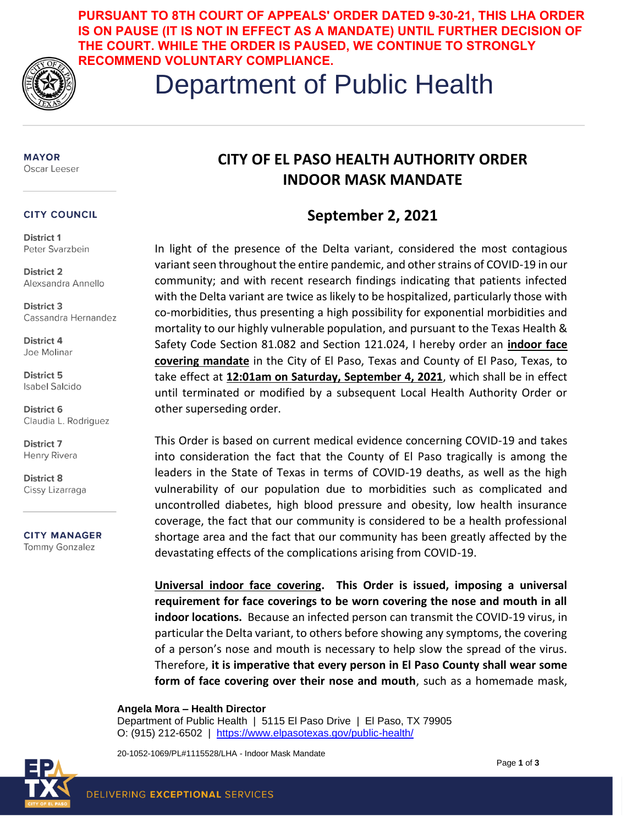

**PURSUANT TO 8TH COURT OF APPEALS' ORDER DATED 9-30-21, THIS LHA ORDER IS ON PAUSE (IT IS NOT IN EFFECT AS A MANDATE) UNTIL FURTHER DECISION OF THE COURT. WHILE THE ORDER IS PAUSED, WE CONTINUE TO STRONGLY RECOMMEND VOLUNTARY COMPLIANCE.**

# Department of Public Health

**MAYOR** Oscar Leeser

#### **CITY COUNCIL**

**District 1** Peter Svarzbein

**District 2** Alexsandra Annello

**District 3** Cassandra Hernandez

District 4 Joe Molinar

**District 5** Isabel Salcido

District 6 Claudia L. Rodriguez

District 7 Henry Rivera

District 8 Cissy Lizarraga

**CITY MANAGER Tommy Gonzalez** 

## **CITY OF EL PASO HEALTH AUTHORITY ORDER INDOOR MASK MANDATE**

## **September 2, 2021**

In light of the presence of the Delta variant, considered the most contagious variant seen throughout the entire pandemic, and other strains of COVID-19 in our community; and with recent research findings indicating that patients infected with the Delta variant are twice as likely to be hospitalized, particularly those with co-morbidities, thus presenting a high possibility for exponential morbidities and mortality to our highly vulnerable population, and pursuant to the Texas Health & Safety Code Section 81.082 and Section 121.024, I hereby order an **indoor face covering mandate** in the City of El Paso, Texas and County of El Paso, Texas, to take effect at **12:01am on Saturday, September 4, 2021**, which shall be in effect until terminated or modified by a subsequent Local Health Authority Order or other superseding order.

This Order is based on current medical evidence concerning COVID-19 and takes into consideration the fact that the County of El Paso tragically is among the leaders in the State of Texas in terms of COVID-19 deaths, as well as the high vulnerability of our population due to morbidities such as complicated and uncontrolled diabetes, high blood pressure and obesity, low health insurance coverage, the fact that our community is considered to be a health professional shortage area and the fact that our community has been greatly affected by the devastating effects of the complications arising from COVID-19.

**Universal indoor face covering. This Order is issued, imposing a universal requirement for face coverings to be worn covering the nose and mouth in all indoor locations.** Because an infected person can transmit the COVID-19 virus, in particular the Delta variant, to others before showing any symptoms, the covering of a person's nose and mouth is necessary to help slow the spread of the virus. Therefore, **it is imperative that every person in El Paso County shall wear some form of face covering over their nose and mouth**, such as a homemade mask,

#### **Angela Mora – Health Director**

Department of Public Health | 5115 El Paso Drive | El Paso, TX 79905 O: (915) 212-6502 | <https://www.elpasotexas.gov/public-health/>

20-1052-1069/PL#1115528/LHA - Indoor Mask Mandate

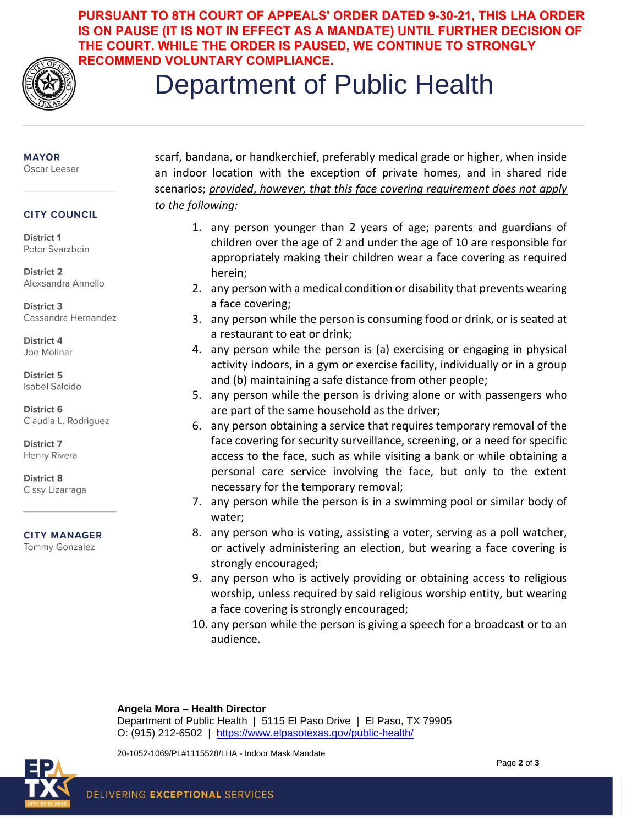**PURSUANT TO 8TH COURT OF APPEALS' ORDER DATED 9-30-21, THIS LHA ORDER IS ON PAUSE (IT IS NOT IN EFFECT AS A MANDATE) UNTIL FURTHER DECISION OF THE COURT. WHILE THE ORDER IS PAUSED, WE CONTINUE TO STRONGLY RECOMMEND VOLUNTARY COMPLIANCE.**



# Department of Public Health

## **MAYOR**

Oscar Leeser

### **CITY COUNCIL**

**District 1** Peter Svarzbein

**District 2** Alexsandra Annello

**District 3** Cassandra Hernandez

District 4 Joe Molinar

**District 5** Isabel Salcido

District 6 Claudia L. Rodriguez

District 7 Henry Rivera

District 8 Cissy Lizarraga

**CITY MANAGER** 

**Tommy Gonzalez** 

- scarf, bandana, or handkerchief, preferably medical grade or higher, when inside an indoor location with the exception of private homes, and in shared ride scenarios; *provided*, *however, that this face covering requirement does not apply to the following:*
	- 1. any person younger than 2 years of age; parents and guardians of children over the age of 2 and under the age of 10 are responsible for appropriately making their children wear a face covering as required herein;
	- 2. any person with a medical condition or disability that prevents wearing a face covering;
	- 3. any person while the person is consuming food or drink, or is seated at a restaurant to eat or drink;
	- 4. any person while the person is (a) exercising or engaging in physical activity indoors, in a gym or exercise facility, individually or in a group and (b) maintaining a safe distance from other people;
	- 5. any person while the person is driving alone or with passengers who are part of the same household as the driver;
	- 6. any person obtaining a service that requires temporary removal of the face covering for security surveillance, screening, or a need for specific access to the face, such as while visiting a bank or while obtaining a personal care service involving the face, but only to the extent necessary for the temporary removal;
	- 7. any person while the person is in a swimming pool or similar body of water;
	- 8. any person who is voting, assisting a voter, serving as a poll watcher, or actively administering an election, but wearing a face covering is strongly encouraged;
	- 9. any person who is actively providing or obtaining access to religious worship, unless required by said religious worship entity, but wearing a face covering is strongly encouraged;
	- 10. any person while the person is giving a speech for a broadcast or to an audience.

### **Angela Mora – Health Director**

Department of Public Health | 5115 El Paso Drive | El Paso, TX 79905 O: (915) 212-6502 | <https://www.elpasotexas.gov/public-health/>

20-1052-1069/PL#1115528/LHA - Indoor Mask Mandate



Page **2** of **3**